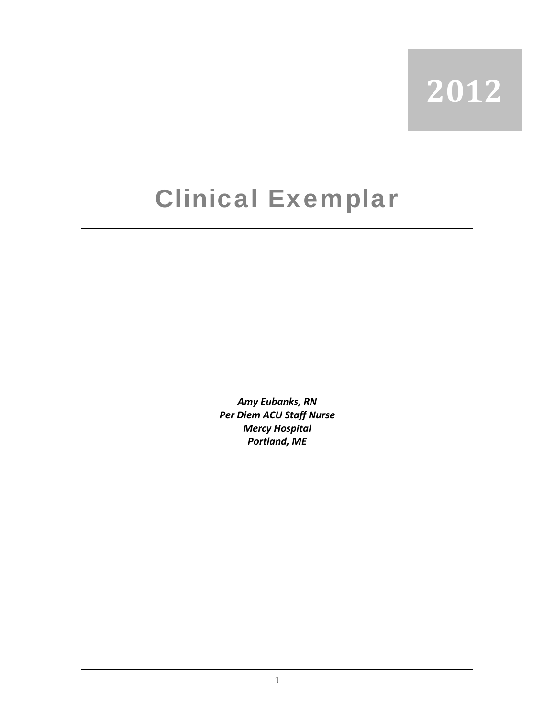## **2012**

## Clinical Exemplar

*Amy Eubanks, RN Per Diem ACU Staff Nurse* *Mercy Hospital Portland, ME*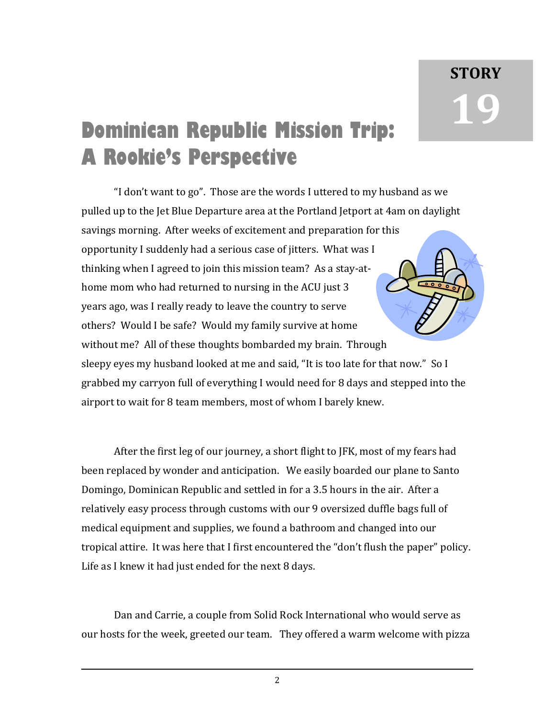## **Dominican Republic Mission Trip: A Rookie's Perspective**

"I don't want to go". Those are the words I uttered to my husband as we pulled up to the Jet Blue Departure area at the Portland Jetport at 4am on daylight savings morning. After weeks of excitement and preparation for this opportunity I suddenly had a serious case of jitters. What was I thinking when I agreed to join this mission team? As a stay‐at‐ home mom who had returned to nursing in the ACU just 3 years ago, was I really ready to leave the country to serve others? Would I be safe? Would my family survive at home without me? All of these thoughts bombarded my brain. Through sleepy eyes my husband looked at me and said, "It is too late for that now." So I grabbed my carryon full of everything I would need for 8 days and stepped into the airport to wait for 8 team members, most of whom I barely knew.

After the first leg of our journey, a short flight to JFK, most of my fears had been replaced by wonder and anticipation. We easily boarded our plane to Santo Domingo, Dominican Republic and settled in for a 3.5 hours in the air. After a relatively easy process through customs with our 9 oversized duffle bags full of medical equipment and supplies, we found a bathroom and changed into our tropical attire. It was here that I first encountered the "don't flush the paper" policy. Life as I knew it had just ended for the next 8 days.

Dan and Carrie, a couple from Solid Rock International who would serve as our hosts for the week, greeted our team. They offered a warm welcome with pizza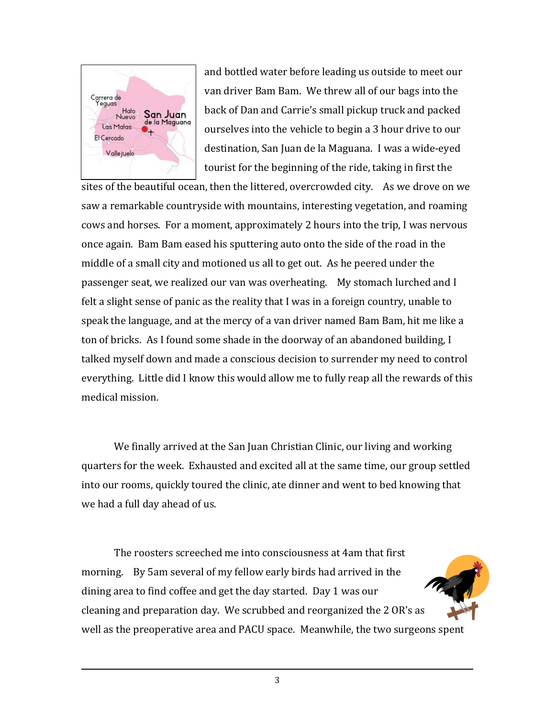

and bottled water before leading us outside to meet our van driver Bam Bam. We threw all of our bags into the back of Dan and Carrie's small pickup truck and packed ourselves into the vehicle to begin a 3 hour drive to our destination, San Juan de la Maguana. I was a wide‐eyed tourist for the beginning of the ride, taking in first the

[sites of the beautiful ocean](http://www.google.com/imgres?q=san+juan+de+la+maguana&hl=en&safe=active&biw=1280&bih=816&tbm=isch&tbnid=MbQQHpf2VjbhaM:&imgrefurl=http://www.embassyworld.com/maps/Maps_Of_D_Republic.html&docid=JebnyqyrVTY6sM&imgurl=http://www.embassyworld.com/maps/Maps_Of_Dominican_Republic/images/san-juan-de-la-maguana.gif&w=600&h=598&ei=d7SyT5bdLunb6gGg392kCQ&zoom=1&iact=hc&vpx=595&vpy=242&dur=62&hovh=224&hovw=225&tx=124&ty=110&sig=114691035788210258286&page=4&tbnh=158&tbnw=193&start=70&ndsp=25&ved=1t:429,r:7,s:70,i), then the littered, overcrowded city. As we drove on we saw a remarkable countryside with mountains, interesting vegetation, and roaming cows and horses. For a moment, approximately 2 hours into the trip, I was nervous once again. Bam Bam eased his sputtering auto onto the side of the road in the middle of a small city and motioned us all to get out. As he peered under the passenger seat, we realized our van was overheating. My stomach lurched and I felt a slight sense of panic as the reality that I was in a foreign country, unable to speak the language, and at the mercy of a van driver named Bam Bam, hit me like a ton of bricks. As I found some shade in the doorway of an abandoned building, I talked myself down and made a conscious decision to surrender my need to control everything. Little did I know this would allow me to fully reap all the rewards of this medical mission.

We finally arrived at the San Juan Christian Clinic, our living and working quarters for the week. Exhausted and excited all at the same time, our group settled into our rooms, quickly toured the clinic, ate dinner and went to bed knowing that we had a full day ahead of us.

The roosters screeched me into consciousness at 4am that first morning. By 5am several of my fellow early birds had arrived in the dining area to find coffee and get the day started. Day 1 was our cleaning and preparation day. We scrubbed and reorganized the 2 OR's as well as the preoperative area and PACU space. Meanwhile, the two surgeons spent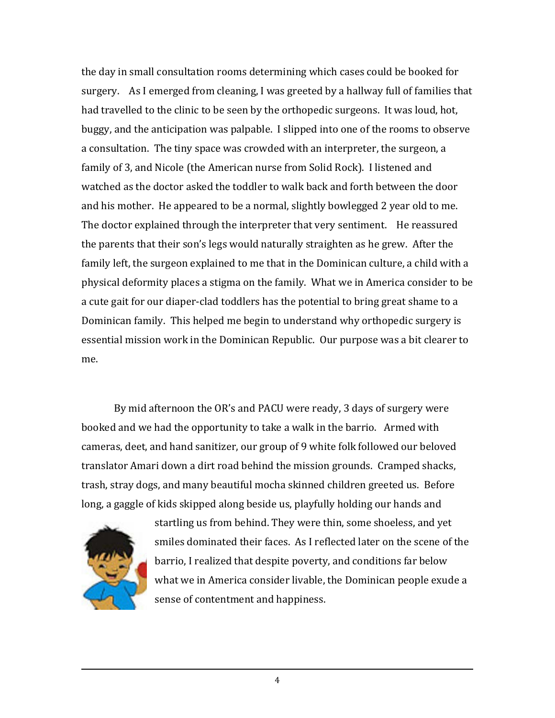the day in small consultation rooms determining which cases could be booked for surgery. As I emerged from cleaning, I was greeted by a hallway full of families that had travelled to the clinic to be seen by the orthopedic surgeons. It was loud, hot, buggy, and the anticipation was palpable. I slipped into one of the rooms to observe a consultation. The tiny space was crowded with an interpreter, the surgeon, a family of 3, and Nicole (the American nurse from Solid Rock). I listened and watched as the doctor asked the toddler to walk back and forth between the door and his mother. He appeared to be a normal, slightly bowlegged 2 year old to me. The doctor explained through the interpreter that very sentiment. He reassured the parents that their son's legs would naturally straighten as he grew. After the family left, the surgeon explained to me that in the Dominican culture, a child with a physical deformity places a stigma on the family. What we in America consider to be a cute gait for our diaper‐clad toddlers has the potential to bring great shame to a Dominican family. This helped me begin to understand why orthopedic surgery is essential mission work in the Dominican Republic. Our purpose was a bit clearer to me.

By mid afternoon the OR's and PACU were ready, 3 days of surgery were booked and we had the opportunity to take a walk in the barrio. Armed with cameras, deet, and hand sanitizer, our group of 9 white folk followed our beloved translator Amari down a dirt road behind the mission grounds. Cramped shacks, trash, stray dogs, and many beautiful mocha skinned children greeted us. Before long, a gaggle of kids skipped along beside us, playfully holding our hands and



startling us from behind. They were thin, some shoeless, and yet smiles dominated their faces. As I reflected later on the scene of the barrio, I realized that despite poverty, and conditions far below what we in America consider livable, the Dominican people exude a sense of contentment and happiness.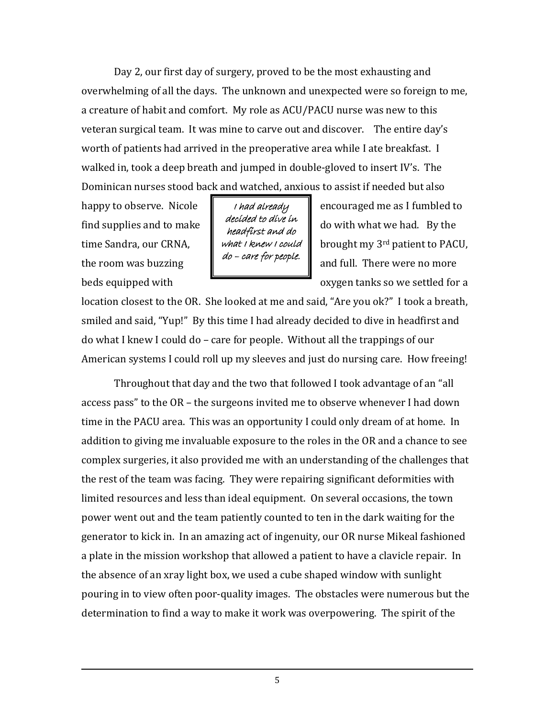Day 2, our first day of surgery, proved to be the most exhausting and overwhelming of all the days. The unknown and unexpected were so foreign to me, a creature of habit and comfort. My role as ACU/PACU nurse was new to this veteran surgical team. It was mine to carve out and discover. The entire day's worth of patients had arrived in the preoperative area while I ate breakfast. I walked in, took a deep breath and jumped in double‐gloved to insert IV's. The Dominican nurses stood back and watched, anxious to assist if needed but also

I had already decided to dive in headfirst and do what I knew I could do – care for people.

happy to observe. Nicole  $\parallel$  *thad already* encouraged me as I fumbled to find supplies and to make  $\|\cdot\|$  is all  $\alpha$  with what we had. By the time Sandra, our CRNA,  $\mathbf{v}$  what *I knew I could*  $\mathbf{v}$  brought my 3<sup>rd</sup> patient to PACU, the room was buzzing  $\begin{bmatrix} 1 & \cdots & 1 \\ 1 & \cdots & 1 \end{bmatrix}$  and full. There were no more beds equipped with **beds** oxygen tanks so we settled for a

location closest to the OR. She looked at me and said, "Are you ok?" I took a breath, smiled and said, "Yup!" By this time I had already decided to dive in headfirst and do what I knew I could do – care for people. Without all the trappings of our American systems I could roll up my sleeves and just do nursing care. How freeing!

Throughout that day and the two that followed I took advantage of an "all access pass" to the OR – the surgeons invited me to observe whenever I had down time in the PACU area. This was an opportunity I could only dream of at home. In addition to giving me invaluable exposure to the roles in the OR and a chance to see complex surgeries, it also provided me with an understanding of the challenges that the rest of the team was facing. They were repairing significant deformities with limited resources and less than ideal equipment. On several occasions, the town power went out and the team patiently counted to ten in the dark waiting for the generator to kick in. In an amazing act of ingenuity, our OR nurse Mikeal fashioned a plate in the mission workshop that allowed a patient to have a clavicle repair. In the absence of an xray light box, we used a cube shaped window with sunlight pouring in to view often poor‐quality images. The obstacles were numerous but the determination to find a way to make it work was overpowering. The spirit of the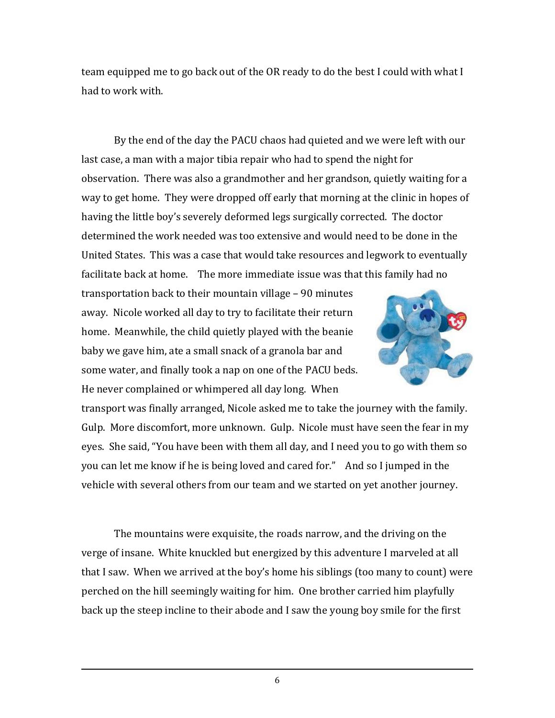team equipped me to go back out of the OR ready to do the best I could with what I had to work with.

By the end of the day the PACU chaos had quieted and we were left with our last case, a man with a major tibia repair who had to spend the night for observation. There was also a grandmother and her grandson, quietly waiting for a way to get home. They were dropped off early that morning at the clinic in hopes of having the little boy's severely deformed legs surgically corrected. The doctor determined the work needed was too extensive and would need to be done in the United States. This was a case that would take resources and legwork to eventually facilitate back at home. The more immediate issue was that this family had no

transportation back to their mountain village – 90 minutes away. Nicole worked all day to try to facilitate their return home. Meanwhile, the child quietly played with the beanie baby we gave him, ate a small snack of a granola bar and some water, and finally took a nap on one of the PACU beds. He never complained or whimpered all day long. When



transport was finally arranged, Nicole asked me to take the journey with the family. Gulp. More discomfort, more unknown. Gulp. Nicole must have seen the fear in my eyes. She said, "You have been with them all day, and I need you to go with them so you can let me know if he is being loved and cared for." And so I jumped in the vehicle with several others from our team and we started on yet another journey.

The mountains were exquisite, the roads narrow, and the driving on the verge of insane. White knuckled but energized by this adventure I marveled at all that I saw. When we arrived at the boy's home his siblings (too many to count) were perched on the hill seemingly waiting for him. One brother carried him playfully back up the steep incline to their abode and I saw the young boy smile for the first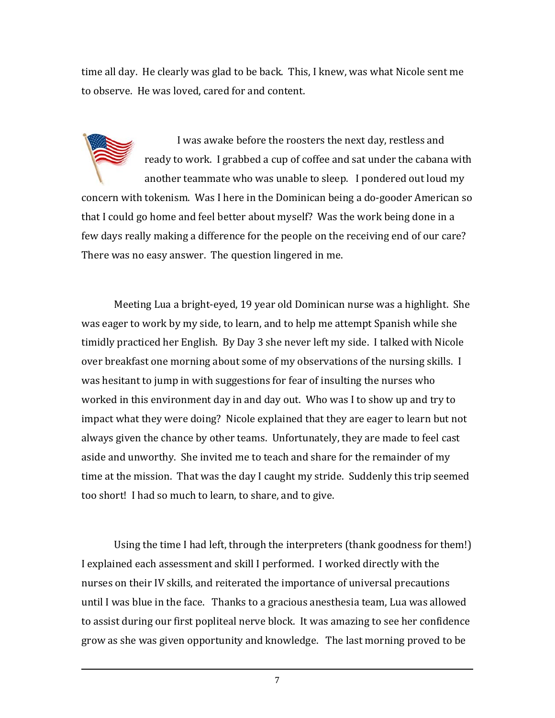time all day. He clearly was glad to be back. This, I knew, was what Nicole sent me to observe. He was loved, cared for and content.

I was awake before the roosters the next day, restless and ready to work. I grabbed a cup of coffee and sat under the cabana with another teammate who was unable to sleep. I pondered out loud my concern with tokenism. Was I here in the Dominican being a do‐gooder American so that I could go home and feel better about myself? Was the work being done in a few days really making a difference for the people on the receiving end of our care? There was no easy answer. The question lingered in me.

Meeting Lua a bright‐eyed, 19 year old Dominican nurse was a highlight. She was eager to work by my side, to learn, and to help me attempt Spanish while she timidly practiced her English. By Day 3 she never left my side. I talked with Nicole over breakfast one morning about some of my observations of the nursing skills. I was hesitant to jump in with suggestions for fear of insulting the nurses who worked in this environment day in and day out. Who was I to show up and try to impact what they were doing? Nicole explained that they are eager to learn but not always given the chance by other teams. Unfortunately, they are made to feel cast aside and unworthy. She invited me to teach and share for the remainder of my time at the mission. That was the day I caught my stride. Suddenly this trip seemed too short! I had so much to learn, to share, and to give.

Using the time I had left, through the interpreters (thank goodness for them!) I explained each assessment and skill I performed. I worked directly with the nurses on their IV skills, and reiterated the importance of universal precautions until I was blue in the face. Thanks to a gracious anesthesia team, Lua was allowed to assist during our first popliteal nerve block. It was amazing to see her confidence grow as she was given opportunity and knowledge. The last morning proved to be